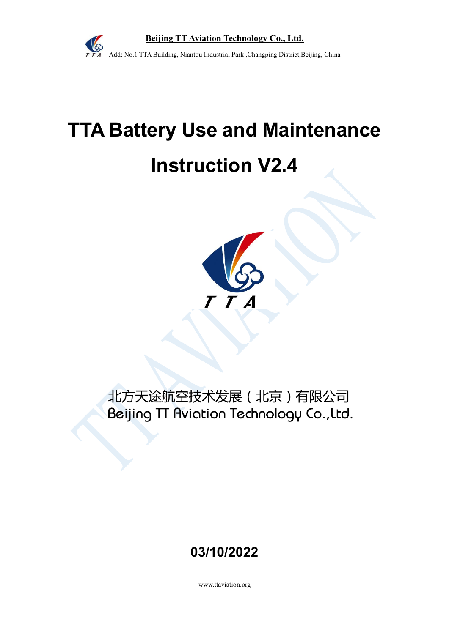

# **TTA Battery Use and Maintenance Instruction V2.4**



# 北方天途航空技术发展(北京)有限公司 Beijing TT Aviation Technology Co., Ltd.

# **03/10/2022**

www.ttaviation.org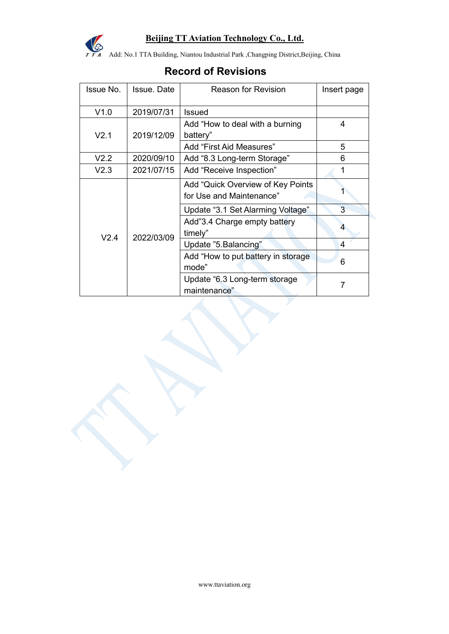

Add: No.1 TTA Building, Niantou Industrial Park ,Changping District,Beijing, China

# **Record of Revisions**

| Issue No.        | Issue. Date | <b>Reason for Revision</b>                                     | Insert page |
|------------------|-------------|----------------------------------------------------------------|-------------|
| V1.0             | 2019/07/31  | <b>Issued</b>                                                  |             |
| V2.1             | 2019/12/09  | Add "How to deal with a burning<br>battery"                    | 4           |
|                  |             | Add "First Aid Measures"                                       | 5           |
| V <sub>2.2</sub> | 2020/09/10  | Add "8.3 Long-term Storage"                                    | 6           |
| V <sub>2.3</sub> | 2021/07/15  | Add "Receive Inspection"                                       | 1           |
| V2.4             | 2022/03/09  | Add "Quick Overview of Key Points"<br>for Use and Maintenance" |             |
|                  |             | Update "3.1 Set Alarming Voltage"                              | 3           |
|                  |             | Add"3.4 Charge empty battery<br>timely"                        | 4           |
|                  |             | Update "5. Balancing"                                          | 4           |
|                  |             | Add "How to put battery in storage<br>mode"                    | 6           |
|                  |             | Update "6.3 Long-term storage<br>maintenance"                  |             |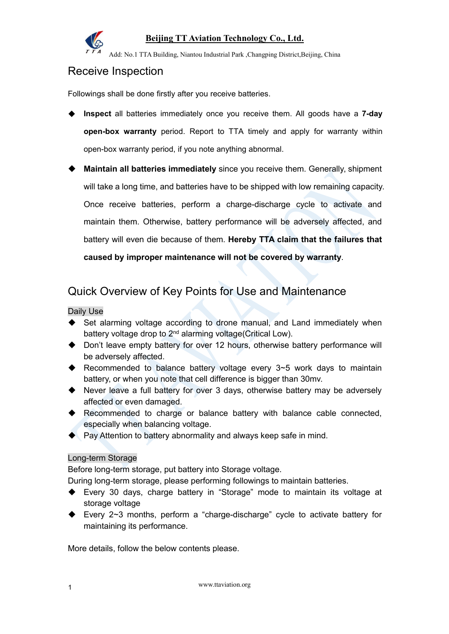

Add: No.1 TTA Building, Niantou Industrial Park ,Changping District,Beijing, China

# Receive Inspection

Followings shall be done firstly after you receive batteries.

- **Inspect** all batteries immediately once you receive them. All goods have a **7-day open-box warranty** period. Report to TTA timely and apply for warranty within open-box warranty period, if you note anything abnormal.
- **Maintain all batteries immediately** since you receive them. Generally, shipment will take a long time, and batteries have to be shipped with low remaining capacity. Once receive batteries, perform a charge-discharge cycle to activate and maintain them. Otherwise, battery performance will be adversely affected, and battery will even die because ofthem. **Hereby TTA claim that the failures that caused by improper maintenance will not be covered by warranty**.

# Quick Overview of Key Points for Use and Maintenance

#### Daily Use

- ◆ Set alarming voltage according to drone manual, and Land immediately when battery voltage drop to 2nd alarming voltage(Critical Low).
- ◆ Don't leave empty battery for over 12 hours, otherwise battery performance will be adversely affected.
- ◆ Recommended to balance battery voltage every 3~5 work days to maintain battery, or when you note that cell difference is bigger than 30mv.
- Never leave a full battery for over 3 days, otherwise battery may be adversely affected or even damaged.
- ◆ Recommended to charge or balance battery with balance cable connected, especially when balancing voltage.
- $\blacklozenge$  Pay Attention to battery abnormality and always keep safe in mind.

#### Long-term Storage

Before long-term storage, put battery into Storage voltage.

During long-term storage, please performing followings to maintain batteries.

- Every 30 days, charge battery in "Storage" mode to maintain its voltage at storage voltage
- Every 2~3 months, perform a "charge-discharge" cycle to activate battery for maintaining its performance.

More details, follow the below contents please.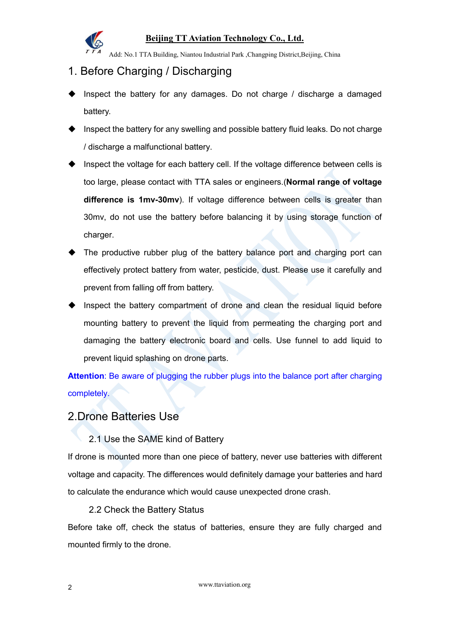

Add: No.1 TTA Building, Niantou Industrial Park ,Changping District,Beijing, China

# 1. Before Charging / Discharging

- ◆ Inspect the battery for any damages. Do not charge / discharge a damaged battery.
- Inspect the battery for any swelling and possible battery fluid leaks. Do not charge / discharge a malfunctional battery.
- Inspect the voltage for each battery cell. If the voltage difference between cells is too large, please contact with TTA sales or engineers.(**Normal range of voltage difference is 1mv-30mv**). If voltage difference between cells is greater than 30mv, do not use the battery before balancing it by using storage function of charger.
- The productive rubber plug of the battery balance port and charging port can effectively protect battery from water, pesticide, dust. Please use it carefully and prevent from falling off from battery.
- Inspect the battery compartment of drone and clean the residual liquid before mounting battery to prevent the liquid from permeating the charging port and damaging the battery electronic board and cells. Use funnel to add liquid to prevent liquid splashing on drone parts.

**Attention**: Be aware of plugging the rubber plugs into the balance port after charging completely.

# 2.Drone Batteries Use

#### 2.1 Use the SAME kind of Battery

If drone is mounted more than one piece of battery, never use batteries with different voltage and capacity. The differences would definitely damage your batteries and hard to calculate the endurance which would cause unexpected drone crash.

#### 2.2 Check the Battery Status

Before take off, check the status of batteries, ensure they are fully charged and mounted firmly to the drone.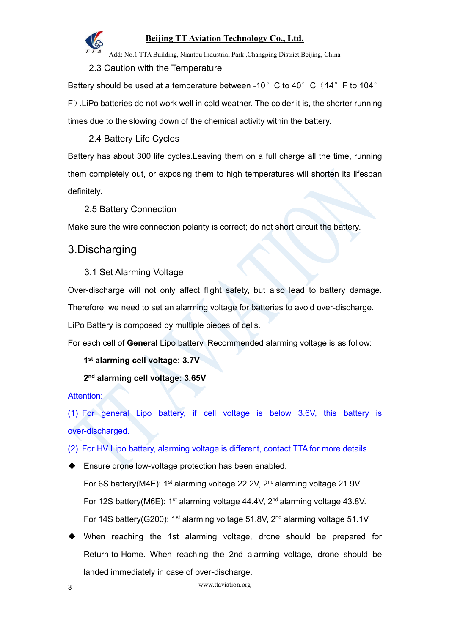

Add: No.1 TTA Building, Niantou Industrial Park ,Changping District,Beijing, China

2.3 Caution with the Temperature

Battery should be used at a temperature between -10 $^{\circ}$  C to 40 $^{\circ}$  C (14 $^{\circ}$  F to 104 $^{\circ}$ F).LiPo batteries do not work well in cold weather. The colder it is, the shorter running times due to the slowing down of the chemical activity within the battery.

2.4 Battery Life Cycles

Battery has about 300 life cycles.Leaving them on a full charge all the time, running them completely out, or exposing them to high temperatures will shorten its lifespan definitely.

2.5 Battery Connection

Make sure the wire connection polarity is correct; do not short circuit the battery.

# 3.Discharging

#### 3.1 Set Alarming Voltage

Over-discharge will not only affect flight safety, but also lead to battery damage. Therefore, we need to set an alarming voltage for batteries to avoid over-discharge. LiPo Battery is composed by multiple pieces of cells.

For each cell of **General** Lipo battery, Recommended alarming voltage is as follow:

#### **1 st alarming cell voltage: 3.7V**

**2 nd alarming cell voltage: 3.65V**

Attention:

(1) For general Lipo battery, if cell voltage is below 3.6V, this battery is over-discharged.

(2) For HV Lipo battery, alarming voltage is different, contact TTA for more details.

◆ Ensure drone low-voltage protection has been enabled.

For 6S battery(M4E): 1<sup>st</sup> alarming voltage 22.2V, 2<sup>nd</sup> alarming voltage 21.9V For 12S battery(M6E): 1<sup>st</sup> alarming voltage 44.4V, 2<sup>nd</sup> alarming voltage 43.8V. For 14S battery(G200): 1<sup>st</sup> alarming voltage 51.8V, 2<sup>nd</sup> alarming voltage 51.1V

 When reaching the 1st alarming voltage, drone should be prepared for Return-to-Home. When reaching the 2nd alarming voltage, drone should be landed immediately in case of over-discharge.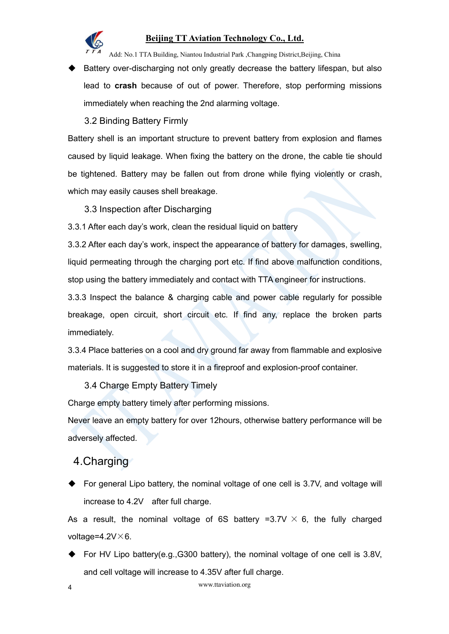

Add: No.1 TTA Building, Niantou Industrial Park ,Changping District,Beijing, China

◆ Battery over-discharging not only greatly decrease the battery lifespan, but also lead to **crash** because of out of power. Therefore, stop performing missions immediately when reaching the 2nd alarming voltage.

3.2 Binding Battery Firmly

Battery shell is an important structure to prevent battery from explosion and flames caused by liquid leakage. When fixing the battery on the drone, the cable tie should be tightened. Battery may be fallen out from drone while flying violently or crash, which may easily causes shell breakage.

3.3 Inspection after Discharging

3.3.1 After each day's work, clean the residual liquid on battery

3.3.2 After each day's work, inspect the appearance of battery for damages, swelling, liquid permeating through the charging port etc. If find above malfunction conditions, stop using the battery immediately and contact with TTA engineer for instructions.

3.3.3 Inspect the balance & charging cable and power cable regularly for possible breakage, open circuit, short circuit etc. If find any, replace the broken parts immediately.

3.3.4 Place batteries on a cool and dry ground far away from flammable and explosive materials. It is suggested to store it in a fireproof and explosion-proof container.

3.4 Charge Empty Battery Timely

Charge empty battery timely after performing missions.

Never leave an empty battery for over 12hours, otherwise battery performance will be adversely affected.

# 4.Charging

 $\blacklozenge$  For general Lipo battery, the nominal voltage of one cell is 3.7V, and voltage will increase to 4.2V after full charge.

As a result, the nominal voltage of 6S battery =3.7V  $\times$  6, the fully charged voltage= $4.2V\times 6$ .

◆ For HV Lipo battery(e.g.,G300 battery), the nominal voltage of one cell is 3.8V, and cell voltage will increase to 4.35V after full charge.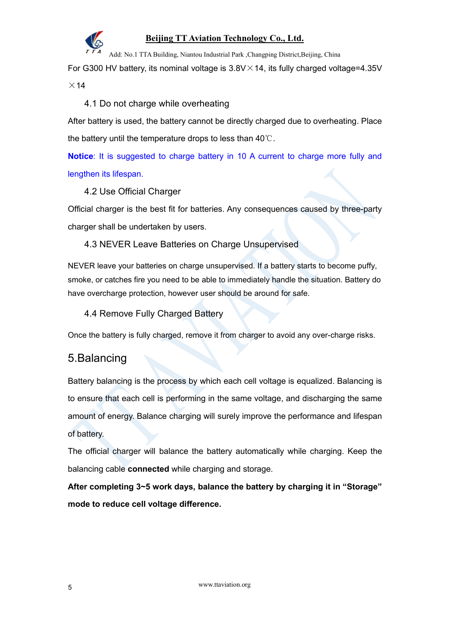

Add: No.1 TTA Building, Niantou Industrial Park ,Changping District,Beijing, China

For G300 HV battery, its nominal voltage is  $3.8V \times 14$ , its fully charged voltage=4.35V

 $\times$  14

#### 4.1 Do not charge while overheating

After battery is used, the battery cannot be directly charged due to overheating. Place the battery until the temperature drops to less than 40℃.

**Notice**: It is suggested to charge battery in 10 A current to charge more fully and lengthen its lifespan.

#### 4.2 Use Official Charger

Official charger is the best fit for batteries. Any consequences caused by three-party charger shall be undertaken by users.

#### 4.3 NEVER Leave Batteries on Charge Unsupervised

NEVER leave your batteries on charge unsupervised. If a battery starts to become puffy, smoke, or catches fire you need to be able to immediately handle the situation. Battery do have overcharge protection, however user should be around for safe.

4.4 Remove Fully Charged Battery

Once the battery is fully charged, remove it from charger to avoid any over-charge risks.

# 5.Balancing

Battery balancing is the process by which each cell voltage is equalized. Balancing is to ensure that each cell is performing in the same voltage, and discharging the same amount of energy. Balance charging will surely improve the performance and lifespan of battery.

The official charger will balance the battery automatically while charging. Keep the balancing cable **connected** while charging and storage.

**After completing 3~5 work days, balance the battery by charging it in "Storage" mode to reduce cell voltage difference.**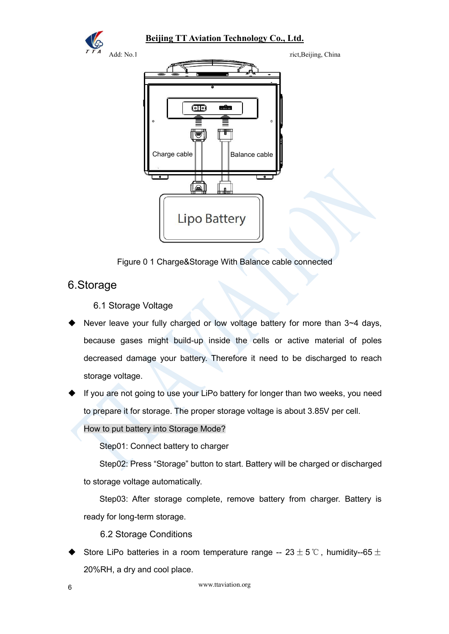



Figure 0 1 Charge&Storage With Balance cable connected

# 6.Storage

6.1 Storage Voltage

- Never leave your fully charged or low voltage battery for more than 3~4 days, because gases might build-up inside the cells or active material of poles decreased damage your battery. Therefore it need to be discharged to reach storage voltage.
- If you are not going to use your LiPo battery for longer than two weeks, you need to prepare it for storage. The proper storage voltage is about 3.85V per cell.

How to put battery into Storage Mode?

Step01: Connect battery to charger

Step02: Press "Storage" button to start. Battery will be charged or discharged to storage voltage automatically.

Step03: After storage complete, remove battery from charger. Battery is ready for long-term storage.

6.2 Storage Conditions

Store LiPo batteries in a room temperature range --  $23 \pm 5$ °C, humidity--65 $\pm$ 20%RH, a dry and cool place.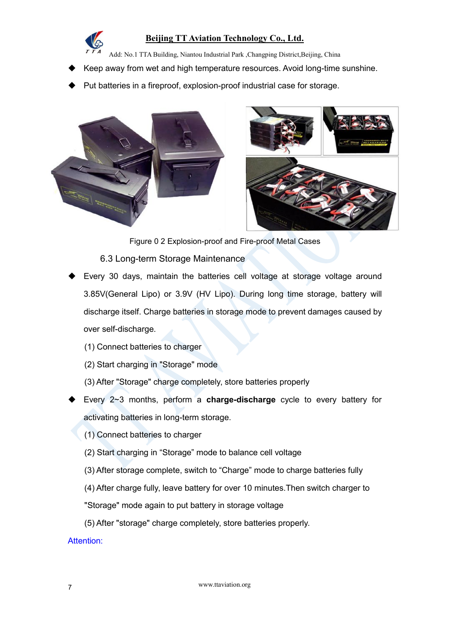

Add: No.1 TTA Building, Niantou Industrial Park ,Changping District,Beijing, China

- Keep away from wet and high temperature resources. Avoid long-time sunshine.
- Put batteries in a fireproof, explosion-proof industrial case for storage.





Figure 0 2 Explosion-proof and Fire-proof Metal Cases

#### 6.3 Long-term Storage Maintenance

- Every 30 days, maintain the batteries cell voltage at storage voltage around 3.85V(General Lipo) or 3.9V (HV Lipo). During long time storage, battery will discharge itself. Charge batteries in storage mode to prevent damages caused by over self-discharge.
	- (1) Connect batteries to charger
	- (2) Start charging in "Storage" mode
	- (3) After "Storage" charge completely, store batteries properly
- Every 2~3 months, perform a **charge-discharge** cycle to every battery for activating batteries in long-term storage.
	- (1) Connect batteries to charger
	- (2) Start charging in "Storage" mode to balance cell voltage
	- (3) After storage complete, switch to "Charge"mode to charge batteries fully
	- (4) After charge fully, leave battery for over 10 minutes.Then switch charger to
	- "Storage" mode again to put battery in storage voltage
	- (5) After "storage" charge completely, store batteries properly.

#### Attention: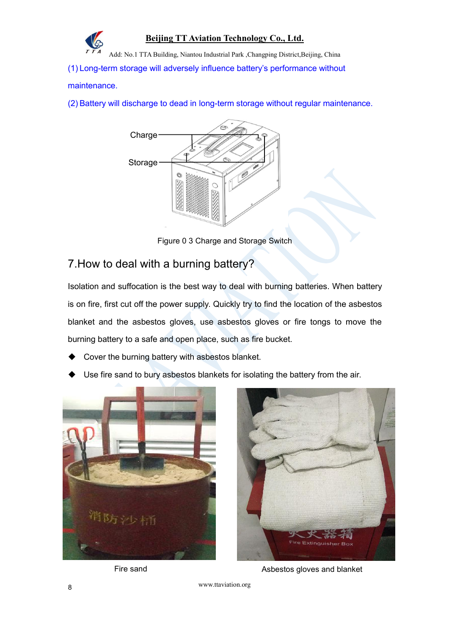

Add: No.1 TTA Building, Niantou Industrial Park ,Changping District,Beijing, China

(1) Long-term storage will adversely influence battery's performance without

#### maintenance.

(2) Battery will discharge to dead in long-term storage without regular maintenance.



Figure 0 3 Charge and Storage Switch

# 7.How to deal with a burning battery?

Isolation and suffocation is the best way to deal with burning batteries. When battery is on fire, first cut off the power supply. Quickly try to find the location of the asbestos blanket and the asbestos gloves, use asbestos gloves or fire tongs to move the burning battery to a safe and open place, such as fire bucket.

- Cover the burning battery with asbestos blanket.
- Use fire sand to bury asbestos blankets for isolating the battery from the air.





Fire sand **Asbestos** gloves and blanket

www.ttaviation.org <sup>8</sup>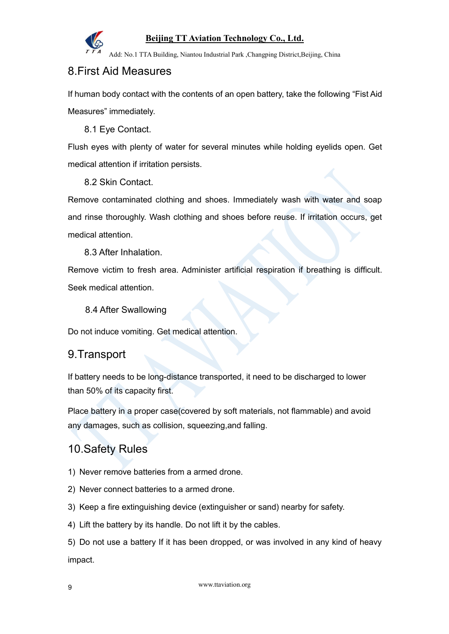

Add: No.1 TTA Building, Niantou Industrial Park ,Changping District,Beijing, China

# 8.First Aid Measures

If human body contact with the contents of an open battery, take the following "Fist Aid Measures" immediately.

8.1 Eye Contact.

Flush eyes with plenty of water for several minutes while holding eyelids open. Get medical attention if irritation persists.

8.2 Skin Contact.

Remove contaminated clothing and shoes. Immediately wash with water and soap and rinse thoroughly. Wash clothing and shoes before reuse. If irritation occurs, get medical attention.

8.3 After Inhalation.

Remove victim to fresh area. Administer artificial respiration if breathing is difficult. Seek medical attention.

#### 8.4 After Swallowing

Do not induce vomiting. Get medical attention.

### 9.Transport

If battery needs to be long-distance transported, it need to be discharged to lower than 50% of its capacity first.

Place battery in a proper case(covered by soft materials, not flammable) and avoid any damages, such as collision, squeezing,and falling.

# 10.Safety Rules

- 1) Never remove batteries from a armed drone.
- 2) Never connect batteries to a armed drone.
- 3) Keep a fire extinguishing device (extinguisher or sand) nearby for safety.
- 4) Lift the battery by its handle. Do not lift it by the cables.

5) Do not use a battery If it has been dropped, or was involved in any kind of heavy impact.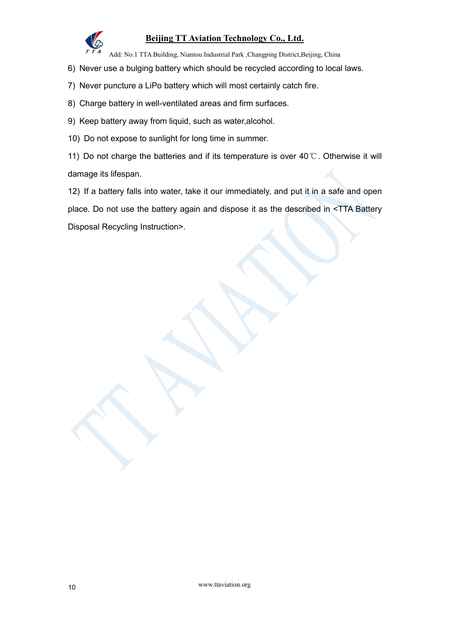

Add: No.1 TTA Building, Niantou Industrial Park ,Changping District,Beijing, China

- 6) Never use a bulging battery which should be recycled according to local laws.
- 7) Never puncture a LiPo battery which will most certainly catch fire.
- 8) Charge battery in well-ventilated areas and firm surfaces.
- 9) Keep battery away from liquid, such as water, alcohol.
- 10) Do not expose to sunlight for long time in summer.

11) Do not charge the batteries and if its temperature is over  $40^{\circ}$ C. Otherwise it will damage its lifespan.

12) If a battery falls into water, take it our immediately, and put it in a safe and open place. Do not use the battery again and dispose it as the described in <TTA Battery Disposal Recycling Instruction>.